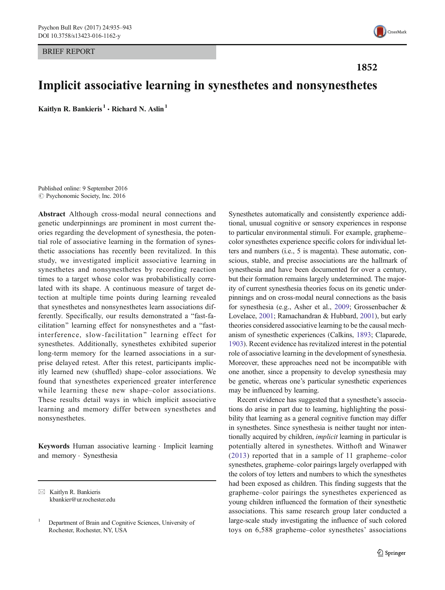BRIEF REPORT



**1852**

# Implicit associative learning in synesthetes and nonsynesthetes

Kaitlyn R. Bankieris<sup>1</sup> · Richard N. Aslin<sup>1</sup>

Published online: 9 September 2016 © Psychonomic Society, Inc. 2016

Abstract Although cross-modal neural connections and genetic underpinnings are prominent in most current theories regarding the development of synesthesia, the potential role of associative learning in the formation of synesthetic associations has recently been revitalized. In this study, we investigated implicit associative learning in synesthetes and nonsynesthetes by recording reaction times to a target whose color was probabilistically correlated with its shape. A continuous measure of target detection at multiple time points during learning revealed that synesthetes and nonsynesthetes learn associations differently. Specifically, our results demonstrated a "fast-facilitation" learning effect for nonsynesthetes and a "fastinterference, slow-facilitation" learning effect for synesthetes. Additionally, synesthetes exhibited superior long-term memory for the learned associations in a surprise delayed retest. After this retest, participants implicitly learned new (shuffled) shape–color associations. We found that synesthetes experienced greater interference while learning these new shape–color associations. These results detail ways in which implicit associative learning and memory differ between synesthetes and nonsynesthetes.

Keywords Human associative learning . Implicit learning and memory . Synesthesia

 $\boxtimes$  Kaitlyn R. Bankieris kbankier@ur.rochester.edu Synesthetes automatically and consistently experience additional, unusual cognitive or sensory experiences in response to particular environmental stimuli. For example, grapheme– color synesthetes experience specific colors for individual letters and numbers (i.e., 5 is magenta). These automatic, conscious, stable, and precise associations are the hallmark of synesthesia and have been documented for over a century, but their formation remains largely undetermined. The majority of current synesthesia theories focus on its genetic underpinnings and on cross-modal neural connections as the basis for synesthesia (e.g., Asher et al., [2009;](#page-8-0) Grossenbacher & Lovelace, [2001](#page-8-0); Ramachandran & Hubbard, [2001\)](#page-8-0), but early theories considered associative learning to be the causal mechanism of synesthetic experiences (Calkins, [1893;](#page-8-0) Claparede, [1903\)](#page-8-0). Recent evidence has revitalized interest in the potential role of associative learning in the development of synesthesia. Moreover, these approaches need not be incompatible with one another, since a propensity to develop synesthesia may be genetic, whereas one's particular synesthetic experiences may be influenced by learning.

Recent evidence has suggested that a synesthete's associations do arise in part due to learning, highlighting the possibility that learning as a general cognitive function may differ in synesthetes. Since synesthesia is neither taught nor intentionally acquired by children, implicit learning in particular is potentially altered in synesthetes. Witthoft and Winawer ([2013](#page-8-0)) reported that in a sample of 11 grapheme–color synesthetes, grapheme–color pairings largely overlapped with the colors of toy letters and numbers to which the synesthetes had been exposed as children. This finding suggests that the grapheme–color pairings the synesthetes experienced as young children influenced the formation of their synesthetic associations. This same research group later conducted a large-scale study investigating the influence of such colored toys on 6,588 grapheme–color synesthetes' associations

<sup>1</sup> Department of Brain and Cognitive Sciences, University of Rochester, Rochester, NY, USA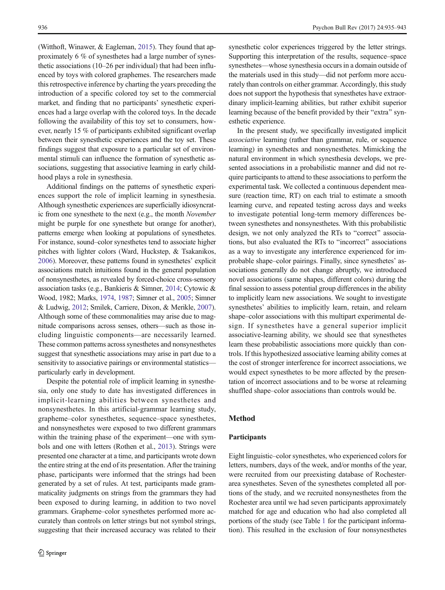(Witthoft, Winawer, & Eagleman, [2015](#page-8-0)). They found that approximately 6 % of synesthetes had a large number of synesthetic associations (10–26 per individual) that had been influenced by toys with colored graphemes. The researchers made this retrospective inference by charting the years preceding the introduction of a specific colored toy set to the commercial market, and finding that no participants' synesthetic experiences had a large overlap with the colored toys. In the decade following the availability of this toy set to consumers, however, nearly 15 % of participants exhibited significant overlap between their synesthetic experiences and the toy set. These findings suggest that exposure to a particular set of environmental stimuli can influence the formation of synesthetic associations, suggesting that associative learning in early childhood plays a role in synesthesia.

Additional findings on the patterns of synesthetic experiences support the role of implicit learning in synesthesia. Although synesthetic experiences are superficially idiosyncratic from one synesthete to the next (e.g., the month November might be purple for one synesthete but orange for another), patterns emerge when looking at populations of synesthetes. For instance, sound–color synesthetes tend to associate higher pitches with lighter colors (Ward, Huckstep, & Tsakanikos, [2006](#page-8-0)). Moreover, these patterns found in synesthetes' explicit associations match intuitions found in the general population of nonsynesthetes, as revealed by forced-choice cross-sensory association tasks (e.g., Bankieris & Simner, [2014;](#page-8-0) Cytowic & Wood, 1982; Marks, [1974,](#page-8-0) [1987](#page-8-0); Simner et al., [2005](#page-8-0); Simner & Ludwig, [2012;](#page-8-0) Smilek, Carriere, Dixon, & Merikle, [2007\)](#page-8-0). Although some of these commonalities may arise due to magnitude comparisons across senses, others—such as those including linguistic components—are necessarily learned. These common patterns across synesthetes and nonsynesthetes suggest that synesthetic associations may arise in part due to a sensitivity to associative pairings or environmental statistics particularly early in development.

Despite the potential role of implicit learning in synesthesia, only one study to date has investigated differences in implicit-learning abilities between synesthetes and nonsynesthetes. In this artificial-grammar learning study, grapheme–color synesthetes, sequence–space synesthetes, and nonsynesthetes were exposed to two different grammars within the training phase of the experiment—one with symbols and one with letters (Rothen et al., [2013\)](#page-8-0). Strings were presented one character at a time, and participants wrote down the entire string at the end of its presentation. After the training phase, participants were informed that the strings had been generated by a set of rules. At test, participants made grammaticality judgments on strings from the grammars they had been exposed to during learning, in addition to two novel grammars. Grapheme–color synesthetes performed more accurately than controls on letter strings but not symbol strings, suggesting that their increased accuracy was related to their synesthetic color experiences triggered by the letter strings. Supporting this interpretation of the results, sequence–space synesthetes—whose synesthesia occurs in a domain outside of the materials used in this study—did not perform more accurately than controls on either grammar. Accordingly, this study does not support the hypothesis that synesthetes have extraordinary implicit-learning abilities, but rather exhibit superior learning because of the benefit provided by their "extra" synesthetic experience.

In the present study, we specifically investigated implicit associative learning (rather than grammar, rule, or sequence learning) in synesthetes and nonsynesthetes. Mimicking the natural environment in which synesthesia develops, we presented associations in a probabilistic manner and did not require participants to attend to these associations to perform the experimental task. We collected a continuous dependent measure (reaction time, RT) on each trial to estimate a smooth learning curve, and repeated testing across days and weeks to investigate potential long-term memory differences between synesthetes and nonsynesthetes. With this probabilistic design, we not only analyzed the RTs to "correct" associations, but also evaluated the RTs to "incorrect" associations as a way to investigate any interference experienced for improbable shape–color pairings. Finally, since synesthetes' associations generally do not change abruptly, we introduced novel associations (same shapes, different colors) during the final session to assess potential group differences in the ability to implicitly learn new associations. We sought to investigate synesthetes' abilities to implicitly learn, retain, and relearn shape–color associations with this multipart experimental design. If synesthetes have a general superior implicit associative-learning ability, we should see that synesthetes learn these probabilistic associations more quickly than controls. If this hypothesized associative learning ability comes at the cost of stronger interference for incorrect associations, we would expect synesthetes to be more affected by the presentation of incorrect associations and to be worse at relearning shuffled shape–color associations than controls would be.

## Method

#### Participants

Eight linguistic–color synesthetes, who experienced colors for letters, numbers, days of the week, and/or months of the year, were recruited from our preexisting database of Rochesterarea synesthetes. Seven of the synesthetes completed all portions of the study, and we recruited nonsynesthetes from the Rochester area until we had seven participants approximately matched for age and education who had also completed all portions of the study (see Table [1](#page-2-0) for the participant information). This resulted in the exclusion of four nonsynesthetes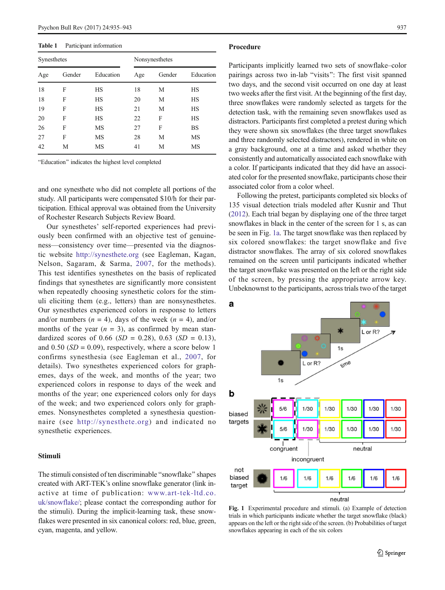<span id="page-2-0"></span>Table 1 Participant information

| Synesthetes |        |    | Nonsynesthetes   |        |           |  |
|-------------|--------|----|------------------|--------|-----------|--|
| Age         | Gender |    | Education<br>Age | Gender | Education |  |
| 18          | F      | HS | 18               | М      | HS        |  |
| 18          | F      | HS | 20               | М      | HS        |  |
| 19          | F      | HS | 21               | М      | HS        |  |
| 20          | F      | HS | 22               | F      | HS        |  |
| 26          | F      | MS | 27               | F      | BS        |  |
| 27          | F      | MS | 28               | М      | MS        |  |
| 42          | M      | MS | 41               | М      | MS        |  |

"Education" indicates the highest level completed

and one synesthete who did not complete all portions of the study. All participants were compensated \$10/h for their participation. Ethical approval was obtained from the University of Rochester Research Subjects Review Board.

Our synesthetes' self-reported experiences had previously been confirmed with an objective test of genuineness—consistency over time—presented via the diagnostic website [http://synesthete.org](http://synesthete.org/) (see Eagleman, Kagan, Nelson, Sagaram, & Sarma, [2007](#page-8-0), for the methods). This test identifies synesthetes on the basis of replicated findings that synesthetes are significantly more consistent when repeatedly choosing synesthetic colors for the stimuli eliciting them (e.g., letters) than are nonsynesthetes. Our synesthetes experienced colors in response to letters and/or numbers  $(n = 4)$ , days of the week  $(n = 4)$ , and/or months of the year  $(n = 3)$ , as confirmed by mean standardized scores of 0.66 ( $SD = 0.28$ ), 0.63 ( $SD = 0.13$ ), and  $0.50$  (SD = 0.09), respectively, where a score below 1 confirms synesthesia (see Eagleman et al., [2007](#page-8-0), for details). Two synesthetes experienced colors for graphemes, days of the week, and months of the year; two experienced colors in response to days of the week and months of the year; one experienced colors only for days of the week; and two experienced colors only for graphemes. Nonsynesthetes completed a synesthesia questionnaire (see [http://synesthete.org\)](http://synesthete.org/) and indicated no synesthetic experiences.

## Stimuli

The stimuli consisted of ten discriminable "snowflake" shapes created with ART-TEK's online snowflake generator (link inactive at time of publication: [www.art-tek-ltd.co.](http://www.art-tek-ltd.co.uk/snowflake/) [uk/snowflake/;](http://www.art-tek-ltd.co.uk/snowflake/) please contact the corresponding author for the stimuli). During the implicit-learning task, these snowflakes were presented in six canonical colors: red, blue, green, cyan, magenta, and yellow.

#### Procedure

Participants implicitly learned two sets of snowflake–color pairings across two in-lab "visits": The first visit spanned two days, and the second visit occurred on one day at least two weeks after the first visit. At the beginning of the first day, three snowflakes were randomly selected as targets for the detection task, with the remaining seven snowflakes used as distractors. Participants first completed a pretest during which they were shown six snowflakes (the three target snowflakes and three randomly selected distractors), rendered in white on a gray background, one at a time and asked whether they consistently and automatically associated each snowflake with a color. If participants indicated that they did have an associated color for the presented snowflake, participants chose their associated color from a color wheel.

Following the pretest, participants completed six blocks of 135 visual detection trials modeled after Kusnir and Thut [\(2012\)](#page-8-0). Each trial began by displaying one of the three target snowflakes in black in the center of the screen for 1 s, as can be seen in Fig. 1a. The target snowflake was then replaced by six colored snowflakes: the target snowflake and five distractor snowflakes. The array of six colored snowflakes remained on the screen until participants indicated whether the target snowflake was presented on the left or the right side of the screen, by pressing the appropriate arrow key. Unbeknownst to the participants, across trials two of the target



Fig. 1 Experimental procedure and stimuli. (a) Example of detection trials in which participants indicate whether the target snowflake (black) appears on the left or the right side of the screen. (b) Probabilities of target snowflakes appearing in each of the six colors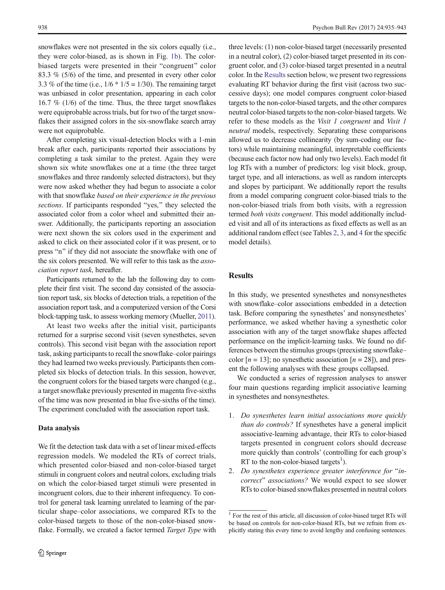<span id="page-3-0"></span>snowflakes were not presented in the six colors equally (*i.e.*, they were color-biased, as is shown in Fig. [1b](#page-2-0)). The colorbiased targets were presented in their "congruent" color 83.3 % (5/6) of the time, and presented in every other color 3.3 % of the time (i.e.,  $1/6 * 1/5 = 1/30$ ). The remaining target was unbiased in color presentation, appearing in each color 16.7 % (1/6) of the time. Thus, the three target snowflakes were equiprobable across trials, but for two of the target snowflakes their assigned colors in the six-snowflake search array were not equiprobable.

After completing six visual-detection blocks with a 1-min break after each, participants reported their associations by completing a task similar to the pretest. Again they were shown six white snowflakes one at a time (the three target snowflakes and three randomly selected distractors), but they were now asked whether they had begun to associate a color with that snowflake based on their experience in the previous sections. If participants responded "yes," they selected the associated color from a color wheel and submitted their answer. Additionally, the participants reporting an association were next shown the six colors used in the experiment and asked to click on their associated color if it was present, or to press "n" if they did not associate the snowflake with one of the six colors presented. We will refer to this task as the association report task, hereafter.

Participants returned to the lab the following day to complete their first visit. The second day consisted of the association report task, six blocks of detection trials, a repetition of the association report task, and a computerized version of the Corsi block-tapping task, to assess working memory (Mueller, [2011\)](#page-8-0).

At least two weeks after the initial visit, participants returned for a surprise second visit (seven synesthetes, seven controls). This second visit began with the association report task, asking participants to recall the snowflake–color pairings they had learned two weeks previously. Participants then completed six blocks of detection trials. In this session, however, the congruent colors for the biased targets were changed (e.g., a target snowflake previously presented in magenta five-sixths of the time was now presented in blue five-sixths of the time). The experiment concluded with the association report task.

## Data analysis

We fit the detection task data with a set of linear mixed-effects regression models. We modeled the RTs of correct trials, which presented color-biased and non-color-biased target stimuli in congruent colors and neutral colors, excluding trials on which the color-biased target stimuli were presented in incongruent colors, due to their inherent infrequency. To control for general task learning unrelated to learning of the particular shape–color associations, we compared RTs to the color-biased targets to those of the non-color-biased snowflake. Formally, we created a factor termed *Target Type* with

three levels: (1) non-color-biased target (necessarily presented in a neutral color), (2) color-biased target presented in its congruent color, and (3) color-biased target presented in a neutral color. In the Results section below, we present two regressions evaluating RT behavior during the first visit (across two successive days); one model compares congruent color-biased targets to the non-color-biased targets, and the other compares neutral color-biased targets to the non-color-biased targets. We refer to these models as the Visit 1 congruent and Visit 1 neutral models, respectively. Separating these comparisons allowed us to decrease collinearity (by sum-coding our factors) while maintaining meaningful, interpretable coefficients (because each factor now had only two levels). Each model fit log RTs with a number of predictors: log visit block, group, target type, and all interactions, as well as random intercepts and slopes by participant. We additionally report the results from a model comparing congruent color-biased trials to the non-color-biased trials from both visits, with a regression termed both visits congruent. This model additionally included visit and all of its interactions as fixed effects as well as an additional random effect (see Tables [2](#page-4-0), [3](#page-4-0), and [4](#page-4-0) for the specific model details).

## Results

In this study, we presented synesthetes and nonsynesthetes with snowflake–color associations embedded in a detection task. Before comparing the synesthetes' and nonsynesthetes' performance, we asked whether having a synesthetic color association with any of the target snowflake shapes affected performance on the implicit-learning tasks. We found no differences between the stimulus groups (preexisting snowflake– color  $[n = 13]$ ; no synesthetic association  $[n = 28]$ ), and present the following analyses with these groups collapsed.

We conducted a series of regression analyses to answer four main questions regarding implicit associative learning in synesthetes and nonsynesthetes.

- 1. Do synesthetes learn initial associations more quickly than do controls? If synesthetes have a general implicit associative-learning advantage, their RTs to color-biased targets presented in congruent colors should decrease more quickly than controls' (controlling for each group's RT to the non-color-biased targets<sup>1</sup>).
- 2. Do synesthetes experience greater interference for "incorrect" associations? We would expect to see slower RTs to color-biased snowflakes presented in neutral colors

<sup>&</sup>lt;sup>1</sup> For the rest of this article, all discussion of color-biased target RTs will be based on controls for non-color-biased RTs, but we refrain from explicitly stating this every time to avoid lengthy and confusing sentences.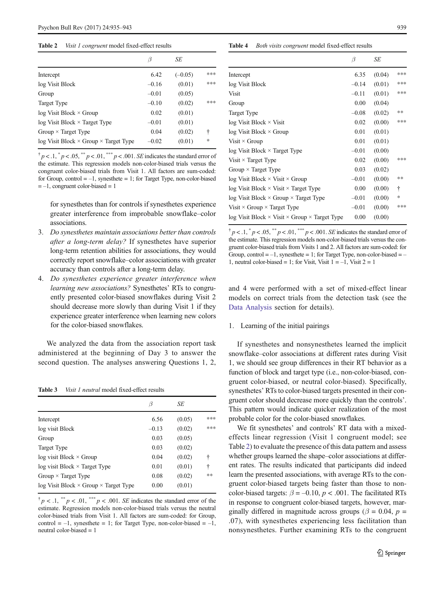## <span id="page-4-0"></span>Table 2 Visit 1 congruent model fixed-effect results

|                                                        | β       | SE        |        |
|--------------------------------------------------------|---------|-----------|--------|
| Intercept                                              | 6.42    | $(-0.05)$ | ***    |
| log Visit Block                                        | $-0.16$ | (0.01)    | ***    |
| Group                                                  | $-0.01$ | (0.05)    |        |
| Target Type                                            | $-0.10$ | (0.02)    | ***    |
| $log$ Visit Block $\times$ Group                       | 0.02    | (0.01)    |        |
| $log$ Visit Block $\times$ Target Type                 | $-0.01$ | (0.01)    |        |
| Group $\times$ Target Type                             | 0.04    | (0.02)    | ÷      |
| $log V$ isit Block $\times$ Group $\times$ Target Type | $-0.02$ | (0.01)    | $\ast$ |

 $\frac{1}{p}$   $p$  < .1,  $\frac{1}{p}$   $p$  < .05,  $\frac{1}{p}$   $p$  < .01,  $\frac{1}{p}$   $p$  < .001. *SE* indicates the standard error of the estimate. This regression models non-color-biased trials versus the congruent color-biased trials from Visit 1. All factors are sum-coded: for Group, control  $= -1$ , synesthete  $= 1$ ; for Target Type, non-color-biased  $=-1$ , congruent color-biased = 1

for synesthetes than for controls if synesthetes experience greater interference from improbable snowflake–color associations.

- 3. Do synesthetes maintain associations better than controls after a long-term delay? If synesthetes have superior long-term retention abilities for associations, they would correctly report snowflake–color associations with greater accuracy than controls after a long-term delay.
- 4. Do synesthetes experience greater interference when learning new associations? Synesthetes' RTs to congruently presented color-biased snowflakes during Visit 2 should decrease more slowly than during Visit 1 if they experience greater interference when learning new colors for the color-biased snowflakes.

We analyzed the data from the association report task administered at the beginning of Day 3 to answer the second question. The analyses answering Questions 1, 2,

Table 3 Visit 1 neutral model fixed-effect results

|                                                       | Β       | SE     |     |
|-------------------------------------------------------|---------|--------|-----|
| Intercept                                             | 6.56    | (0.05) | *** |
| log visit Block                                       | $-0.13$ | (0.02) | *** |
| Group                                                 | 0.03    | (0.05) |     |
| Target Type                                           | 0.03    | (0.02) |     |
| $log$ visit Block $\times$ Group                      | 0.04    | (0.02) | ÷   |
| $log$ visit Block $\times$ Target Type                | 0.01    | (0.01) | ÷   |
| Group $\times$ Target Type                            | 0.08    | (0.02) | **  |
| $log$ Visit Block $\times$ Group $\times$ Target Type | 0.00    | (0.01) |     |

 $\phi^{\dagger} p < 0.1$ ,  $\phi^* p < 0.01$ ,  $\phi^* p < 0.001$ . SE indicates the standard error of the estimate. Regression models non-color-biased trials versus the neutral color-biased trials from Visit 1. All factors are sum-coded: for Group, control  $= -1$ , synesthete  $= 1$ ; for Target Type, non-color-biased  $= -1$ , neutral color-biased = 1

Table 4 Both visits congruent model fixed-effect results

|                                                                      | β       | SE     |     |
|----------------------------------------------------------------------|---------|--------|-----|
| Intercept                                                            | 6.35    | (0.04) | *** |
| log Visit Block                                                      | $-0.14$ | (0.01) | *** |
| <b>Visit</b>                                                         | $-0.11$ | (0.01) | *** |
| Group                                                                | 0.00    | (0.04) |     |
| Target Type                                                          | $-0.08$ | (0.02) | **  |
| $log$ Visit Block $\times$ Visit                                     | 0.02    | (0.00) | *** |
| $log$ Visit Block $\times$ Group                                     | 0.01    | (0.01) |     |
| Visit $\times$ Group                                                 | 0.01    | (0.01) |     |
| $log$ Visit Block $\times$ Target Type                               | $-0.01$ | (0.00) |     |
| Visit $\times$ Target Type                                           | 0.02    | (0.00) | *** |
| Group $\times$ Target Type                                           | 0.03    | (0.02) |     |
| $log$ Visit Block $\times$ Visit $\times$ Group                      | $-0.01$ | (0.00) | **  |
| $log$ Visit Block $\times$ Visit $\times$ Target Type                | 0.00    | (0.00) | t   |
| $log$ Visit Block $\times$ Group $\times$ Target Type                | $-0.01$ | (0.00) | *   |
| Visit $\times$ Group $\times$ Target Type                            | $-0.01$ | (0.00) | *** |
| $log$ Visit Block $\times$ Visit $\times$ Group $\times$ Target Type | 0.00    | (0.00) |     |

 $\phi^{\dagger} p < 0.1$ ,  $\phi^* p < 0.05$ ,  $\phi^* p < 0.01$ ,  $\phi^* p < 0.001$ . *SE* indicates the standard error of the estimate. This regression models non-color-biased trials versus the congruent color-biased trials from Visits 1 and 2. All factors are sum-coded: for Group, control  $= -1$ , synesthete  $= 1$ ; for Target Type, non-color-biased  $= -1$ 1, neutral color-biased = 1; for Visit, Visit  $1 = -1$ , Visit  $2 = 1$ 

and 4 were performed with a set of mixed-effect linear models on correct trials from the detection task (see the [Data Analysis](#page-3-0) section for details).

#### 1. Learning of the initial pairings

If synesthetes and nonsynesthetes learned the implicit snowflake–color associations at different rates during Visit 1, we should see group differences in their RT behavior as a function of block and target type (i.e., non-color-biased, congruent color-biased, or neutral color-biased). Specifically, synesthetes' RTs to color-biased targets presented in their congruent color should decrease more quickly than the controls'. This pattern would indicate quicker realization of the most probable color for the color-biased snowflakes.

We fit synesthetes' and controls' RT data with a mixedeffects linear regression (Visit 1 congruent model; see Table 2) to evaluate the presence of this data pattern and assess whether groups learned the shape–color associations at different rates. The results indicated that participants did indeed learn the presented associations, with average RTs to the congruent color-biased targets being faster than those to noncolor-biased targets:  $\beta = -0.10$ ,  $p < .001$ . The facilitated RTs in response to congruent color-biased targets, however, marginally differed in magnitude across groups ( $\beta$  = 0.04, p = .07), with synesthetes experiencing less facilitation than nonsynesthetes. Further examining RTs to the congruent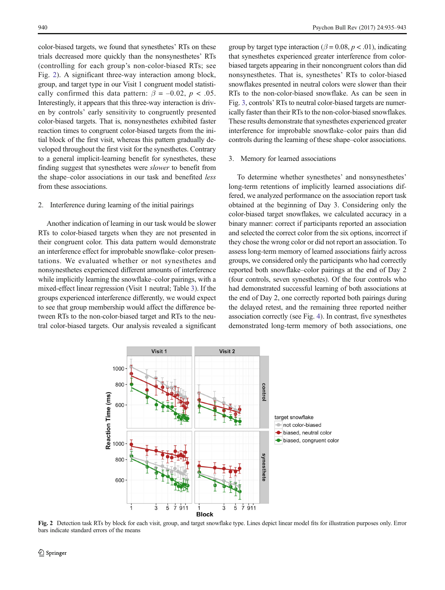<span id="page-5-0"></span>color-biased targets, we found that synesthetes' RTs on these trials decreased more quickly than the nonsynesthetes' RTs (controlling for each group's non-color-biased RTs; see Fig. 2). A significant three-way interaction among block, group, and target type in our Visit 1 congruent model statistically confirmed this data pattern:  $\beta = -0.02$ ,  $p < .05$ . Interestingly, it appears that this three-way interaction is driven by controls' early sensitivity to congruently presented color-biased targets. That is, nonsynesthetes exhibited faster reaction times to congruent color-biased targets from the initial block of the first visit, whereas this pattern gradually developed throughout the first visit for the synesthetes. Contrary to a general implicit-learning benefit for synesthetes, these finding suggest that synesthetes were slower to benefit from the shape–color associations in our task and benefited less from these associations.

## 2. Interference during learning of the initial pairings

Another indication of learning in our task would be slower RTs to color-biased targets when they are not presented in their congruent color. This data pattern would demonstrate an interference effect for improbable snowflake–color presentations. We evaluated whether or not synesthetes and nonsynesthetes experienced different amounts of interference while implicitly learning the snowflake–color pairings, with a mixed-effect linear regression (Visit 1 neutral; Table [3\)](#page-4-0). If the groups experienced interference differently, we would expect to see that group membership would affect the difference between RTs to the non-color-biased target and RTs to the neutral color-biased targets. Our analysis revealed a significant group by target type interaction ( $\beta = 0.08$ ,  $p < .01$ ), indicating that synesthetes experienced greater interference from colorbiased targets appearing in their noncongruent colors than did nonsynesthetes. That is, synesthetes' RTs to color-biased snowflakes presented in neutral colors were slower than their RTs to the non-color-biased snowflake. As can be seen in Fig. [3,](#page-6-0) controls' RTs to neutral color-biased targets are numerically faster than their RTs to the non-color-biased snowflakes. These results demonstrate that synesthetes experienced greater interference for improbable snowflake–color pairs than did controls during the learning of these shape–color associations.

## 3. Memory for learned associations

To determine whether synesthetes' and nonsynesthetes' long-term retentions of implicitly learned associations differed, we analyzed performance on the association report task obtained at the beginning of Day 3. Considering only the color-biased target snowflakes, we calculated accuracy in a binary manner: correct if participants reported an association and selected the correct color from the six options, incorrect if they chose the wrong color or did not report an association. To assess long-term memory of learned associations fairly across groups, we considered only the participants who had correctly reported both snowflake–color pairings at the end of Day 2 (four controls, seven synesthetes). Of the four controls who had demonstrated successful learning of both associations at the end of Day 2, one correctly reported both pairings during the delayed retest, and the remaining three reported neither association correctly (see Fig. [4\)](#page-6-0). In contrast, five synesthetes demonstrated long-term memory of both associations, one



Fig. 2 Detection task RTs by block for each visit, group, and target snowflake type. Lines depict linear model fits for illustration purposes only. Error bars indicate standard errors of the means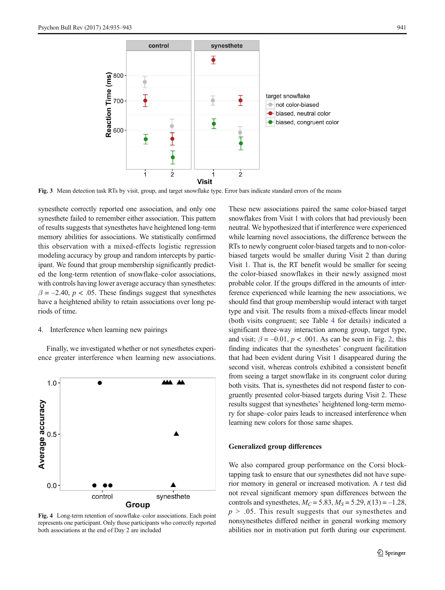

<span id="page-6-0"></span>

Fig. 3 Mean detection task RTs by visit, group, and target snowflake type. Error bars indicate standard errors of the means

synesthete correctly reported one association, and only one synesthete failed to remember either association. This pattern of results suggests that synesthetes have heightened long-term memory abilities for associations. We statistically confirmed this observation with a mixed-effects logistic regression modeling accuracy by group and random intercepts by participant. We found that group membership significantly predicted the long-term retention of snowflake–color associations, with controls having lower average accuracy than synesthetes:  $\beta = -2.40$ ,  $p < .05$ . These findings suggest that synesthetes have a heightened ability to retain associations over long periods of time.

#### 4. Interference when learning new pairings

Finally, we investigated whether or not synesthetes experience greater interference when learning new associations.



Fig. 4 Long-term retention of snowflake–color associations. Each point represents one participant. Only those participants who correctly reported both associations at the end of Day 2 are included

These new associations paired the same color-biased target snowflakes from Visit 1 with colors that had previously been neutral. We hypothesized that if interference were experienced while learning novel associations, the difference between the RTs to newly congruent color-biased targets and to non-colorbiased targets would be smaller during Visit 2 than during Visit 1. That is, the RT benefit would be smaller for seeing the color-biased snowflakes in their newly assigned most probable color. If the groups differed in the amounts of interference experienced while learning the new associations, we should find that group membership would interact with target type and visit. The results from a mixed-effects linear model (both visits congruent; see Table [4](#page-4-0) for details) indicated a significant three-way interaction among group, target type, and visit;  $\beta = -0.01$ ,  $p < .001$ . As can be seen in Fig. [2,](#page-5-0) this finding indicates that the synesthetes' congruent facilitation that had been evident during Visit 1 disappeared during the second visit, whereas controls exhibited a consistent benefit from seeing a target snowflake in its congruent color during both visits. That is, synesthetes did not respond faster to congruently presented color-biased targets during Visit 2. These results suggest that synesthetes' heightened long-term memory for shape–color pairs leads to increased interference when learning new colors for those same shapes.

## Generalized group differences

We also compared group performance on the Corsi blocktapping task to ensure that our synesthetes did not have superior memory in general or increased motivation. A t test did not reveal significant memory span differences between the controls and synesthetes,  $M_C = 5.83$ ,  $M_S = 5.29$ ,  $t(13) = -1.28$ ,  $p > .05$ . This result suggests that our synesthetes and nonsynesthetes differed neither in general working memory abilities nor in motivation put forth during our experiment.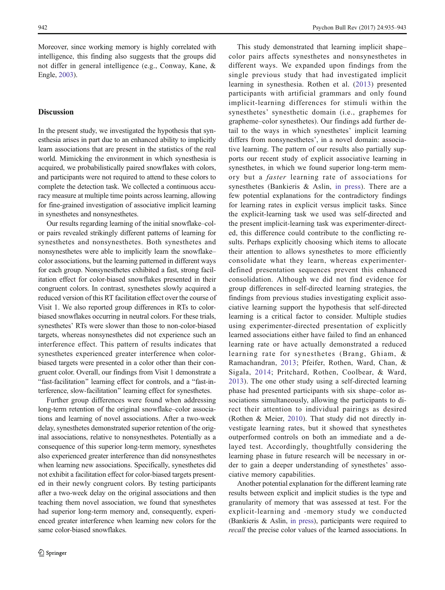Moreover, since working memory is highly correlated with intelligence, this finding also suggests that the groups did not differ in general intelligence (e.g., Conway, Kane, & Engle, [2003](#page-8-0)).

## **Discussion**

In the present study, we investigated the hypothesis that synesthesia arises in part due to an enhanced ability to implicitly learn associations that are present in the statistics of the real world. Mimicking the environment in which synesthesia is acquired, we probabilistically paired snowflakes with colors, and participants were not required to attend to these colors to complete the detection task. We collected a continuous accuracy measure at multiple time points across learning, allowing for fine-grained investigation of associative implicit learning in synesthetes and nonsynesthetes.

Our results regarding learning of the initial snowflake–color pairs revealed strikingly different patterns of learning for synesthetes and nonsynesthetes. Both synesthetes and nonsynesthetes were able to implicitly learn the snowflake– color associations, but the learning patterned in different ways for each group. Nonsynesthetes exhibited a fast, strong facilitation effect for color-biased snowflakes presented in their congruent colors. In contrast, synesthetes slowly acquired a reduced version of this RT facilitation effect over the course of Visit 1. We also reported group differences in RTs to colorbiased snowflakes occurring in neutral colors. For these trials, synesthetes' RTs were slower than those to non-color-biased targets, whereas nonsynesthetes did not experience such an interference effect. This pattern of results indicates that synesthetes experienced greater interference when colorbiased targets were presented in a color other than their congruent color. Overall, our findings from Visit 1 demonstrate a "fast-facilitation" learning effect for controls, and a "fast-interference, slow-facilitation" learning effect for synesthetes.

Further group differences were found when addressing long-term retention of the original snowflake–color associations and learning of novel associations. After a two-week delay, synesthetes demonstrated superior retention of the original associations, relative to nonsynesthetes. Potentially as a consequence of this superior long-term memory, synesthetes also experienced greater interference than did nonsynesthetes when learning new associations. Specifically, synesthetes did not exhibit a facilitation effect for color-biased targets presented in their newly congruent colors. By testing participants after a two-week delay on the original associations and then teaching them novel association, we found that synesthetes had superior long-term memory and, consequently, experienced greater interference when learning new colors for the same color-biased snowflakes.

This study demonstrated that learning implicit shape– color pairs affects synesthetes and nonsynesthetes in different ways. We expanded upon findings from the single previous study that had investigated implicit learning in synesthesia. Rothen et al. ([2013\)](#page-8-0) presented participants with artificial grammars and only found implicit-learning differences for stimuli within the synesthetes' synesthetic domain (i.e., graphemes for grapheme–color synesthetes). Our findings add further detail to the ways in which synesthetes' implicit learning differs from nonsynesthetes', in a novel domain: associative learning. The pattern of our results also partially supports our recent study of explicit associative learning in synesthetes, in which we found superior long-term memory but a faster learning rate of associations for synesthetes (Bankieris & Aslin, [in press](#page-8-0)). There are a few potential explanations for the contradictory findings for learning rates in explicit versus implicit tasks. Since the explicit-learning task we used was self-directed and the present implicit-learning task was experimenter-directed, this difference could contribute to the conflicting results. Perhaps explicitly choosing which items to allocate their attention to allows synesthetes to more efficiently consolidate what they learn, whereas experimenterdefined presentation sequences prevent this enhanced consolidation. Although we did not find evidence for group differences in self-directed learning strategies, the findings from previous studies investigating explicit associative learning support the hypothesis that self-directed learning is a critical factor to consider. Multiple studies using experimenter-directed presentation of explicitly learned associations either have failed to find an enhanced learning rate or have actually demonstrated a reduced learning rate for synesthetes (Brang, Ghiam, & Ramachandran, [2013;](#page-8-0) Pfeifer, Rothen, Ward, Chan, & Sigala, [2014](#page-8-0); Pritchard, Rothen, Coolbear, & Ward, [2013](#page-8-0)). The one other study using a self-directed learning phase had presented participants with six shape–color associations simultaneously, allowing the participants to direct their attention to individual pairings as desired (Rothen & Meier, [2010](#page-8-0)). That study did not directly investigate learning rates, but it showed that synesthetes outperformed controls on both an immediate and a delayed test. Accordingly, thoughtfully considering the learning phase in future research will be necessary in order to gain a deeper understanding of synesthetes' associative memory capabilities.

Another potential explanation for the different learning rate results between explicit and implicit studies is the type and granularity of memory that was assessed at test. For the explicit-learning and -memory study we conducted (Bankieris & Aslin, [in press\)](#page-8-0), participants were required to recall the precise color values of the learned associations. In